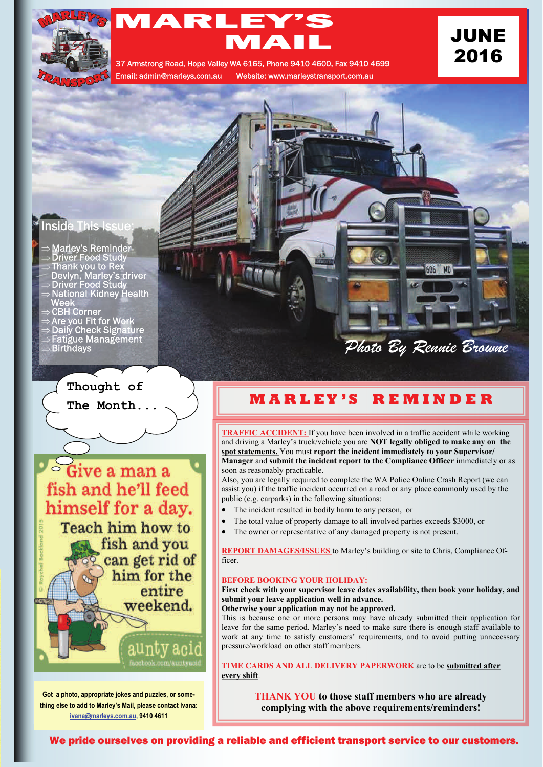

# MARLEY'S MARLEY'S<br>MAIL JUNE 2016 37 Armstrong Road, Hope Valley WA 6165, Phone 9410 4600, Fax 9410 4699

Email: admin@marleys.com.au Website: www.marleystransport.com.au

### **Inside This Issue**

- $\Rightarrow$  Marley's Reminder
- $\Rightarrow$  Driver Food Study
- $\Rightarrow$  Thank you to Rex Devlyn, Marley's driver
- $\Rightarrow$  Driver Food Study
- National Kidney Health Week
- $\Rightarrow$  CBH Corner
- $\Rightarrow$  Are you Fit for Work
- $\Rightarrow$  Daily Check Signature
- Fatigue Management<br>Fatigue Management

# **Thought of**

**The Month...** 



**Got a photo, appropriate jokes and puzzles, or something else to add to Marley's Mail, please contact Ivana: [ivana@marleys.com.au,](mailto:ivana@marleys.com.au) 9410 4611**

Birthdays *Photo By Rennie Browne* 

## **M A R L E Y ' S R E M I N D E R**

**TRAFFIC ACCIDENT:** If you have been involved in a traffic accident while working and driving a Marley's truck/vehicle you are **NOT legally obliged to make any on the spot statements.** You must **report the incident immediately to your Supervisor/ Manager** and **submit the incident report to the Compliance Officer** immediately or as soon as reasonably practicable.

Also, you are legally required to complete the WA Police Online Crash Report (we can assist you) if the traffic incident occurred on a road or any place commonly used by the public (e.g. carparks) in the following situations:

- The incident resulted in bodily harm to any person, or
- The total value of property damage to all involved parties exceeds \$3000, or
- The owner or representative of any damaged property is not present.

**REPORT DAMAGES/ISSUES** to Marley's building or site to Chris, Compliance Officer.

#### **BEFORE BOOKING YOUR HOLIDAY:**

#### **First check with your supervisor leave dates availability, then book your holiday, and submit your leave application well in advance.**

**Otherwise your application may not be approved.**

This is because one or more persons may have already submitted their application for leave for the same period. Marley's need to make sure there is enough staff available to work at any time to satisfy customers' requirements, and to avoid putting unnecessary pressure/workload on other staff members.

**TIME CARDS AND ALL DELIVERY PAPERWORK** are to be **submitted after every shift**.

> **THANK YOU to those staff members who are already complying with the above requirements/reminders!**

We pride ourselves on providing a reliable and efficient transport service to our customers.